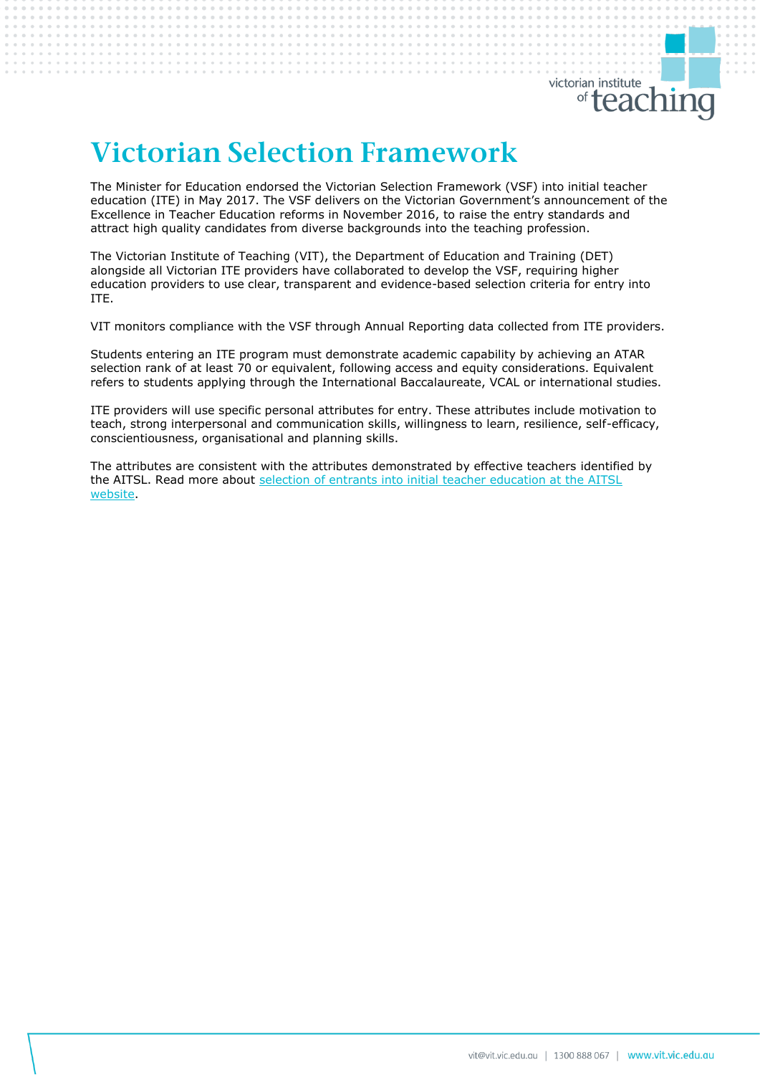## victorian institute <sup>of</sup> teaching

# *Victorian Selection Framework*

The Minister for Education endorsed the Victorian Selection Framework (VSF) into initial teacher education (ITE) in May 2017. The VSF delivers on the Victorian Government's announcement of the Excellence in Teacher Education reforms in November 2016, to raise the entry standards and attract high quality candidates from diverse backgrounds into the teaching profession.

The Victorian Institute of Teaching (VIT), the Department of Education and Training (DET) alongside all Victorian ITE providers have collaborated to develop the VSF, requiring higher education providers to use clear, transparent and evidence-based selection criteria for entry into ITE.

VIT monitors compliance with the VSF through Annual Reporting data collected from ITE providers.

Students entering an ITE program must demonstrate academic capability by achieving an ATAR selection rank of at least 70 or equivalent, following access and equity considerations. Equivalent refers to students applying through the International Baccalaureate, VCAL or international studies.

ITE providers will use specific personal attributes for entry. These attributes include motivation to teach, strong interpersonal and communication skills, willingness to learn, resilience, self-efficacy, conscientiousness, organisational and planning skills.

The attributes are consistent with the attributes demonstrated by effective teachers identified by the AITSL. Read more about [selection of entrants into initial teacher education at the AITSL](https://www.aitsl.edu.au/deliver-ite-programs/learn-about-ite-accreditation-reform/understand-ite-student-selection)  [website.](https://www.aitsl.edu.au/deliver-ite-programs/learn-about-ite-accreditation-reform/understand-ite-student-selection)